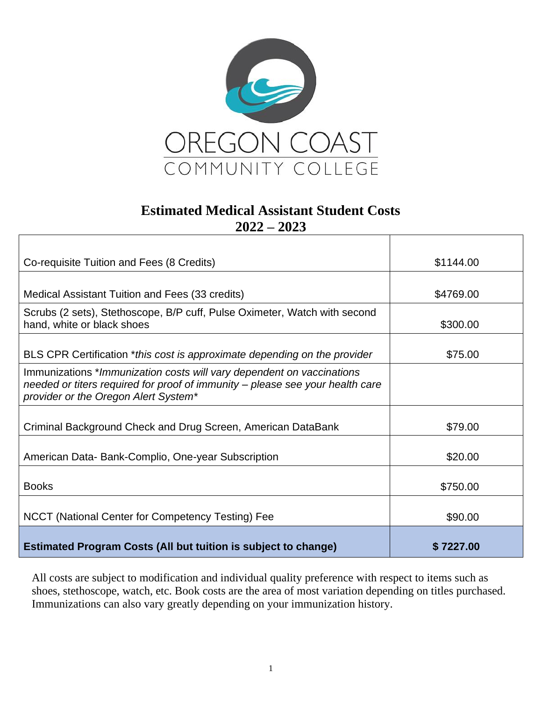

## **Estimated Medical Assistant Student Costs 2022 – 2023**

| Co-requisite Tuition and Fees (8 Credits)                                                                                                                                                      | \$1144.00 |
|------------------------------------------------------------------------------------------------------------------------------------------------------------------------------------------------|-----------|
|                                                                                                                                                                                                |           |
| Medical Assistant Tuition and Fees (33 credits)                                                                                                                                                | \$4769.00 |
| Scrubs (2 sets), Stethoscope, B/P cuff, Pulse Oximeter, Watch with second<br>hand, white or black shoes                                                                                        | \$300.00  |
|                                                                                                                                                                                                |           |
| BLS CPR Certification *this cost is approximate depending on the provider                                                                                                                      | \$75.00   |
| Immunizations *Immunization costs will vary dependent on vaccinations<br>needed or titers required for proof of immunity - please see your health care<br>provider or the Oregon Alert System* |           |
| Criminal Background Check and Drug Screen, American DataBank                                                                                                                                   | \$79.00   |
| American Data- Bank-Complio, One-year Subscription                                                                                                                                             | \$20.00   |
| <b>Books</b>                                                                                                                                                                                   | \$750.00  |
| NCCT (National Center for Competency Testing) Fee                                                                                                                                              | \$90.00   |
| <b>Estimated Program Costs (All but tuition is subject to change)</b>                                                                                                                          | \$7227.00 |

All costs are subject to modification and individual quality preference with respect to items such as shoes, stethoscope, watch, etc. Book costs are the area of most variation depending on titles purchased. Immunizations can also vary greatly depending on your immunization history.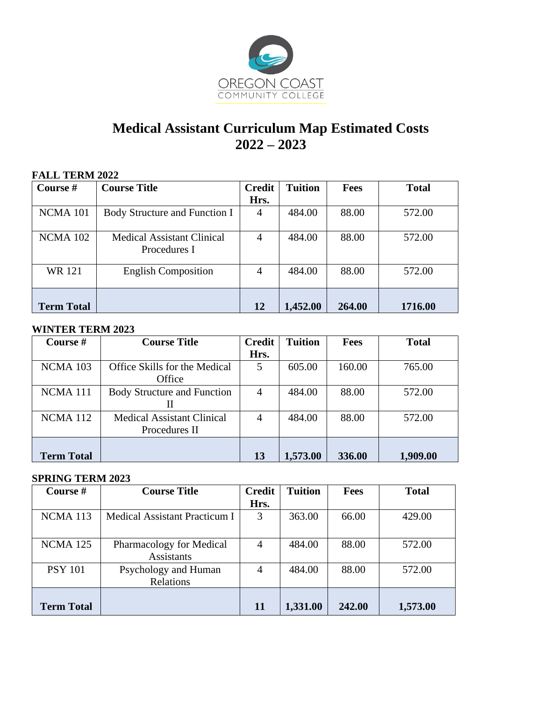

# **Medical Assistant Curriculum Map Estimated Costs 2022 – 2023**

| <b>FALL TERM 2022</b> |                                                   |                |                |             |              |
|-----------------------|---------------------------------------------------|----------------|----------------|-------------|--------------|
| Course #              | <b>Course Title</b>                               | <b>Credit</b>  | <b>Tuition</b> | <b>Fees</b> | <b>Total</b> |
|                       |                                                   | Hrs.           |                |             |              |
| NCMA 101              | Body Structure and Function I                     | $\overline{4}$ | 484.00         | 88.00       | 572.00       |
| <b>NCMA 102</b>       | <b>Medical Assistant Clinical</b><br>Procedures I | $\overline{4}$ | 484.00         | 88.00       | 572.00       |
| <b>WR</b> 121         | <b>English Composition</b>                        | $\overline{4}$ | 484.00         | 88.00       | 572.00       |
| <b>Term Total</b>     |                                                   | 12             | 1,452.00       | 264.00      | 1716.00      |

### **WINTER TERM 2023**

| Course #            | <b>Course Title</b>                | <b>Credit</b>  | <b>Tuition</b> | <b>Fees</b> | <b>Total</b> |
|---------------------|------------------------------------|----------------|----------------|-------------|--------------|
|                     |                                    | Hrs.           |                |             |              |
| <b>NCMA 103</b>     | Office Skills for the Medical      | 5              | 605.00         | 160.00      | 765.00       |
|                     | Office                             |                |                |             |              |
| NCMA <sub>111</sub> | <b>Body Structure and Function</b> | $\overline{4}$ | 484.00         | 88.00       | 572.00       |
|                     | П                                  |                |                |             |              |
| NCMA <sub>112</sub> | <b>Medical Assistant Clinical</b>  | 4              | 484.00         | 88.00       | 572.00       |
|                     | Procedures II                      |                |                |             |              |
|                     |                                    |                |                |             |              |
| <b>Term Total</b>   |                                    | 13             | 1,573.00       | 336.00      | 1,909.00     |

### **SPRING TERM 2023**

| Course #          | <b>Course Title</b>           | <b>Credit</b>  | <b>Tuition</b> | <b>Fees</b> | <b>Total</b> |
|-------------------|-------------------------------|----------------|----------------|-------------|--------------|
|                   |                               | Hrs.           |                |             |              |
| <b>NCMA</b> 113   | Medical Assistant Practicum I | 3              | 363.00         | 66.00       | 429.00       |
|                   |                               |                |                |             |              |
| <b>NCMA</b> 125   | Pharmacology for Medical      | $\overline{4}$ | 484.00         | 88.00       | 572.00       |
|                   | <b>Assistants</b>             |                |                |             |              |
| <b>PSY 101</b>    | Psychology and Human          | 4              | 484.00         | 88.00       | 572.00       |
|                   | Relations                     |                |                |             |              |
|                   |                               |                |                |             |              |
| <b>Term Total</b> |                               | <b>11</b>      | 1,331.00       | 242.00      | 1,573.00     |